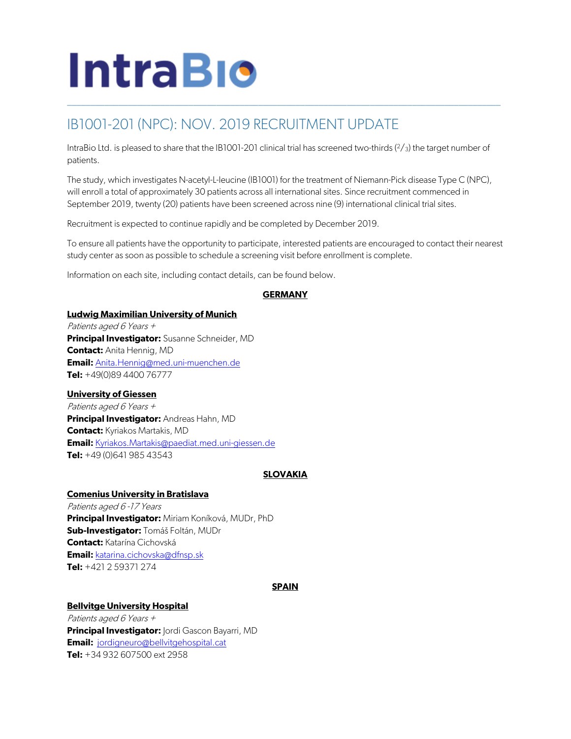# **IntraBio**

# IB1001-201 (NPC): NOV. 2019 RECRUITMENT UPDATE

IntraBio Ltd. is pleased to share that the IB1001-201 clinical trial has screened two-thirds  $(2/3)$  the target number of patients.

\_\_\_\_\_\_\_\_\_\_\_\_\_\_\_\_\_\_\_\_\_\_\_\_\_\_\_\_\_\_\_\_\_\_\_\_\_\_\_\_\_\_\_\_\_\_\_\_\_\_\_\_\_\_\_\_\_\_\_\_\_\_\_\_\_\_\_\_\_\_\_\_\_\_\_\_\_\_\_\_\_\_\_\_\_\_\_\_\_\_\_\_\_

The study, which investigates N-acetyl-L-leucine (IB1001) for the treatment of Niemann-Pick disease Type C (NPC), will enroll a total of approximately 30 patients across all international sites. Since recruitment commenced in September 2019, twenty (20) patients have been screened across nine (9) international clinical trial sites.

Recruitment is expected to continue rapidly and be completed by December 2019.

To ensure all patients have the opportunity to participate, interested patients are encouraged to contact their nearest study center as soon as possible to schedule a screening visit before enrollment is complete.

Information on each site, including contact details, can be found below.

# **GERMANY**

#### **Ludwig Maximilian University of Munich**

Patients aged 6 Years <sup>+</sup> **Principal Investigator:** Susanne Schneider, MD **Contact:** Anita Hennig, MD **Email:** [Anita.Hennig@med.uni-muenchen.de](mailto:Anita.Hennig%40med.uni-muenchen.de?subject=NCT03759639,%20IB1001-201,%20N-Acetyl-L-Leucine%20for%20Niemann-Pick%20Disease,%20Type%20C%20(NPC)) **Tel:** +49(0)89 4400 76777

# **University of Giessen**

Patients aged 6 Years + **Principal Investigator:** Andreas Hahn, MD **Contact:** Kyriakos Martakis, MD **Email:** [Kyriakos.Martakis@paediat.med.uni-giessen.de](mailto:Kyriakos.Martakis%40paediat.med.uni-giessen.de?subject=NCT03759665,%20IB1001-202,%20N-Acetyl-L-Leucine%20for%20GM2%20Gangliosdisosis%20(Tay-Sachs%20and%20Sandhoff%20Disease)) **Tel:** +49 (0)641 985 43543

# **SLOVAKIA**

# **Comenius University in Bratislava**

Patients aged 6 -17 Years **Principal Investigator:** Miriam Koníková, MUDr, PhD **Sub-Investigator:** Tomáš Foltán, MUDr **Contact:** Katarína Cichovská **Email:** [katarina.cichovska@dfnsp.sk](mailto:katarina.cichovska%40dfnsp.sk?subject=NCT03759639,%20IB1001-201,%20N-Acetyl-L-Leucine%20for%20Niemann-Pick%20Disease,%20Type%20C%20(NPC)) **Tel:** +421 2 59371 274

# **SPAIN**

# **Bellvitge University Hospital**

Patients aged 6 Years + **Principal Investigator:** Jordi Gascon Bayarri, MD **Email:** [jordigneuro@bellvitgehospital.cat](mailto:jordigneuro%40bellvitgehospital.cat?subject=NCT03759639,%20IB1001-201,%20N-Acetyl-L-Leucine%20for%20Niemann-Pick%20Disease,%20Type%20C%20(NPC)) **Tel:** +34 932 607500 ext 2958